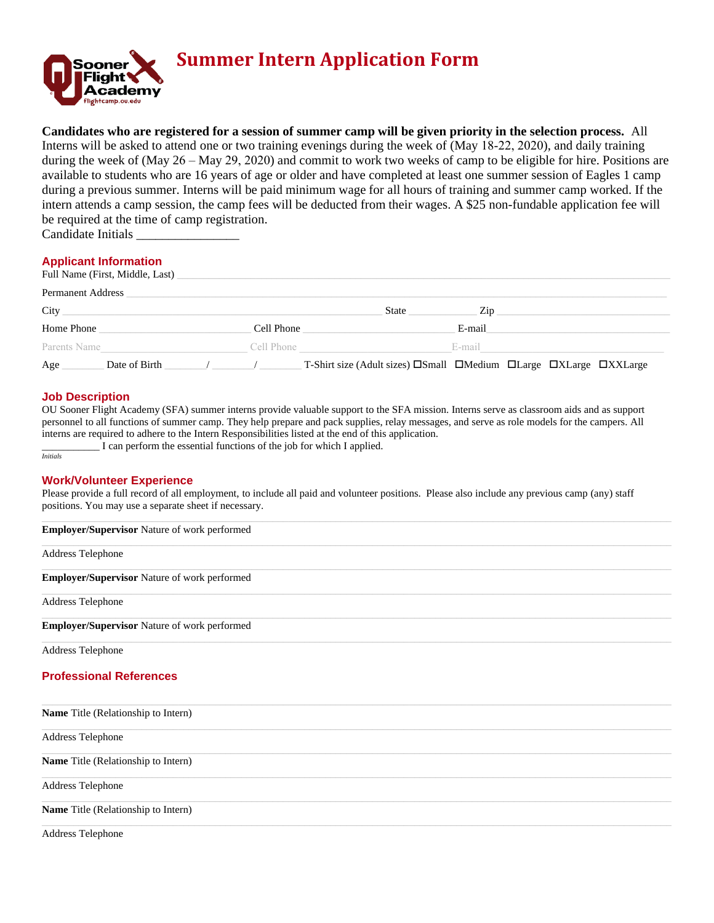

# **Summer Intern Application Form**

**Candidates who are registered for a session of summer camp will be given priority in the selection process.** All Interns will be asked to attend one or two training evenings during the week of (May 18-22, 2020), and daily training during the week of (May 26 – May 29, 2020) and commit to work two weeks of camp to be eligible for hire. Positions are available to students who are 16 years of age or older and have completed at least one summer session of Eagles 1 camp during a previous summer. Interns will be paid minimum wage for all hours of training and summer camp worked. If the intern attends a camp session, the camp fees will be deducted from their wages. A \$25 non-fundable application fee will be required at the time of camp registration. Candidate Initials \_\_\_\_\_\_\_\_\_\_\_\_\_\_\_\_

## **Applicant Information**

|                          | Full Name (First, Middle, Last) |  |              |                                                                                                                |        |  |  |  |
|--------------------------|---------------------------------|--|--------------|----------------------------------------------------------------------------------------------------------------|--------|--|--|--|
| <b>Permanent Address</b> |                                 |  |              |                                                                                                                |        |  |  |  |
| City                     |                                 |  | State<br>Zip |                                                                                                                |        |  |  |  |
| Home Phone               |                                 |  | Cell Phone   |                                                                                                                | E-mail |  |  |  |
| Parents Name             |                                 |  | Cell Phone   |                                                                                                                | E-mail |  |  |  |
| Age                      | Date of Birth                   |  |              | T-Shirt size (Adult sizes) $\square$ Small $\square$ Medium $\square$ Large $\square$ XLarge $\square$ XXLarge |        |  |  |  |

#### **Job Description**

OU Sooner Flight Academy (SFA) summer interns provide valuable support to the SFA mission. Interns serve as classroom aids and as support personnel to all functions of summer camp. They help prepare and pack supplies, relay messages, and serve as role models for the campers. All interns are required to adhere to the Intern Responsibilities listed at the end of this application.

*Initials* 

\_\_\_\_\_\_\_\_\_\_\_ I can perform the essential functions of the job for which I applied.

#### **Work/Volunteer Experience**

Please provide a full record of all employment, to include all paid and volunteer positions. Please also include any previous camp (any) staff positions. You may use a separate sheet if necessary.

| Employer/Supervisor Nature of work performed |
|----------------------------------------------|
| Address Telephone                            |
| Employer/Supervisor Nature of work performed |
| Address Telephone                            |
| Employer/Supervisor Nature of work performed |
| Address Telephone                            |
| <b>Professional References</b>               |
| Name Title (Relationship to Intern)          |
| Address Telephone                            |
| Name Title (Relationship to Intern)          |
| Address Telephone                            |
| Name Title (Relationship to Intern)          |
| <b>Address Telephone</b>                     |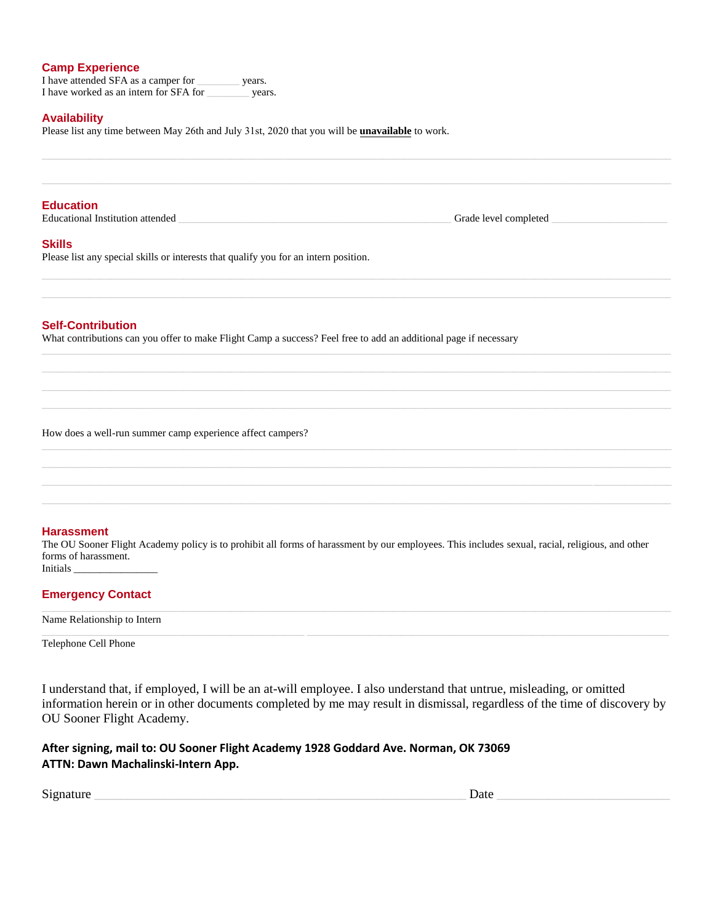#### **Camp Experience**

I have attended SFA as a camper for years. I have worked as an intern for SFA for \_\_\_\_\_\_\_\_ years.

#### **Availability**

Please list any time between May 26th and July 31st, 2020 that you will be **unavailable** to work.

#### **Education**

Educational Institution attended \_\_\_\_\_\_\_\_\_\_\_\_\_\_\_\_\_\_\_\_\_\_\_\_\_\_\_\_\_\_\_\_\_\_\_\_\_\_\_\_\_\_\_\_\_\_\_\_\_\_\_\_ Grade level completed \_\_\_\_\_\_\_\_\_\_\_\_\_\_\_\_\_\_\_\_\_\_

#### **Skills**

Please list any special skills or interests that qualify you for an intern position.

#### **Self-Contribution**

What contributions can you offer to make Flight Camp a success? Feel free to add an additional page if necessary

How does a well-run summer camp experience affect campers?

## **Harassment**

The OU Sooner Flight Academy policy is to prohibit all forms of harassment by our employees. This includes sexual, racial, religious, and other forms of harassment. Initials \_\_\_\_\_\_\_\_\_\_\_\_\_\_\_\_

 $\Box$  . The contribution of the contribution of the contribution of the contribution of the contribution of the contribution of the contribution of the contribution of the contribution of the contribution of the contributi

 $\_$  , and the set of the set of the set of the set of the set of the set of the set of the set of the set of the set of the set of the set of the set of the set of the set of the set of the set of the set of the set of th  $\Box$  . The contribution of the contribution of the contribution of the contribution of the contribution of the contribution of the contribution of the contribution of the contribution of the contribution of the contributi  $\Box$  . The contribution of the contribution of the contribution of the contribution of the contribution of the contribution of the contribution of the contribution of the contribution of the contribution of the contributi

 $\_$  , and the set of the set of the set of the set of the set of the set of the set of the set of the set of the set of the set of the set of the set of the set of the set of the set of the set of the set of the set of th  $\_$  , and the set of the set of the set of the set of the set of the set of the set of the set of the set of the set of the set of the set of the set of the set of the set of the set of the set of the set of the set of th

# **Emergency Contact**

Name Relationship to Intern

Telephone Cell Phone

I understand that, if employed, I will be an at-will employee. I also understand that untrue, misleading, or omitted information herein or in other documents completed by me may result in dismissal, regardless of the time of discovery by OU Sooner Flight Academy.

# **After signing, mail to: OU Sooner Flight Academy 1928 Goddard Ave. Norman, OK 73069 ATTN: Dawn Machalinski-Intern App.**

| $\sim$<br>Signature | Jate<br>-<br>. |
|---------------------|----------------|
|---------------------|----------------|